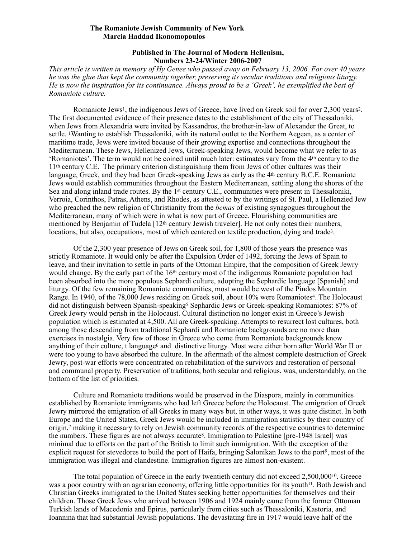## **The Romaniote Jewish Community of New York Marcia Haddad Ikonomopoulos**

## <span id="page-0-2"></span><span id="page-0-1"></span><span id="page-0-0"></span>**Published in The Journal of Modern Hellenism, Numbers 23-24/Winter 2006-2007**

*This article is written in memory of Hy Genee who passed away on February 13, 2006. For over 40 years he was the glue that kept the community together, preserving its secular traditions and religious liturgy. He is now the inspiration for its continuance. Always proud to be a 'Greek', he exemplified the best of Romaniote culture.* 

Romaniote Jews<sup>[1](#page-7-0)</sup>, the indigenous Jews of Greece, have lived on Greek soil for over 2,300 years<sup>2</sup>. The first documented evidence of their presence dates to the establishment of the city of Thessaloniki, when Jews from Alexandria were invited by Kassandros, the brother-in-law of Alexander the Great, to settle. Wanting to establish Thessaloniki, with its natural outlet to the Northern Aegean, as a center of maritime trade, Jews were invited because of their growing expertise and connections throughout the Mediterranean. These Jews, Hellenized Jews, Greek-speaking Jews, would become what we refer to as 'Romaniotes'. The term would not be coined until much later: estimates vary from the 4th century to the 11th century C.E. The primary criterion distinguishing them from Jews of other cultures was their language, Greek, and they had been Greek-speaking Jews as early as the 4<sup>th</sup> century B.C.E. Romaniote Jews would establish communities throughout the Eastern Mediterranean, settling along the shores of the Sea and along inland trade routes. By the 1st century C.E., communities were present in Thessaloniki, Verroia, Corinthos, Patras, Athens, and Rhodes, as attested to by the writings of St. Paul, a Hellenzied Jew who preached the new religion of Christianity from the *bemas* of existing synagogues throughout the Mediterranean, many of which were in what is now part of Greece. Flourishing communities are mentioned by Benjamin of Tudela [12<sup>th</sup> century Jewish traveler]. He not only notes their numbers, locations, but also, occupations, most of which centered on textile production, dying and trade<sup>[3](#page-8-0)</sup>.

<span id="page-0-4"></span><span id="page-0-3"></span>Of the 2,300 year presence of Jews on Greek soil, for 1,800 of those years the presence was strictly Romaniote. It would only be after the Expulsion Order of 1492, forcing the Jews of Spain to leave, and their invitation to settle in parts of the Ottoman Empire, that the composition of Greek Jewry would change. By the early part of the 16th century most of the indigenous Romaniote population had been absorbed into the more populous Sephardi culture, adopting the Sephardic language [Spanish] and liturgy. Of the few remaining Romaniote communities, most would be west of the Pindos Mountain Range[.](#page-8-1) In 19[4](#page-8-1)0, of the 78,000 Jews residing on Greek soil, about 10% were Romaniotes<sup>4</sup>. The Holocaust did not distinguish between Spanish-speaking<sup>[5](#page-8-2)</sup> Sephardic Jews or Greek-speaking Romaniotes: 87% of Greek Jewry would perish in the Holocaust. Cultural distinction no longer exist in Greece's Jewish population which is estimated at 4,500. All are Greek-speaking. Attempts to resurrect lost cultures, both among those descending from traditional Sephardi and Romaniote backgrounds are no more than exercises in nostalgia. Very few of those in Greece who come from Romaniote backgrounds know anything of their culture, t language<sup>[6](#page-8-3)</sup> and distinctive liturgy. Most were either born after World War II or were too young to have absorbed the culture. In the aftermath of the almost complete destruction of Greek Jewry, post-war efforts were concentrated on rehabilitation of the survivors and restoration of personal and communal property. Preservation of traditions, both secular and religious, was, understandably, on the bottom of the list of priorities.

<span id="page-0-7"></span><span id="page-0-6"></span><span id="page-0-5"></span>Culture and Romaniote traditions would be preserved in the Diaspora, mainly in communities established by Romaniote immigrants who had left Greece before the Holocaust. The emigration of Greek Jewry mirrored the emigration of all Greeks in many ways but, in other ways, it was quite distinct. In both Europe and the United States, Greek Jews would be included in immigration statistics by their country of origin[,](#page-8-4) making it necessary to rely on Jewish community records of the respective countries to determine [7](#page-8-4) the numbers. These figures are not always accurate<sup>[8](#page-8-5)</sup>. Immigration to Palestine [pre-1948 Israel] was minimal due to efforts on the part of the British to limit such immigration. With the exception of the explicit request for stevedores to build the port of Haifa[,](#page-8-6) bringing Salonikan Jews to the port<sup>[9](#page-8-6)</sup>, most of the immigration was illegal and clandestine. Immigration figures are almost non-existent.

<span id="page-0-10"></span><span id="page-0-9"></span><span id="page-0-8"></span>The total population of Greece in the early twentieth century did not exceed  $2,500,000^{10}$  $2,500,000^{10}$  $2,500,000^{10}$ [.](#page-8-7) Greece was a poor country with an agrarian economy, offering little opportunities for its youth<sup>11</sup>[.](#page-8-8) Both Jewish and Christian Greeks immigrated to the United States seeking better opportunities for themselves and their children. Those Greek Jews who arrived between 1906 and 1924 mainly came from the former Ottoman Turkish lands of Macedonia and Epirus, particularly from cities such as Thessaloniki, Kastoria, and Ioannina that had substantial Jewish populations. The devastating fire in 1917 would leave half of the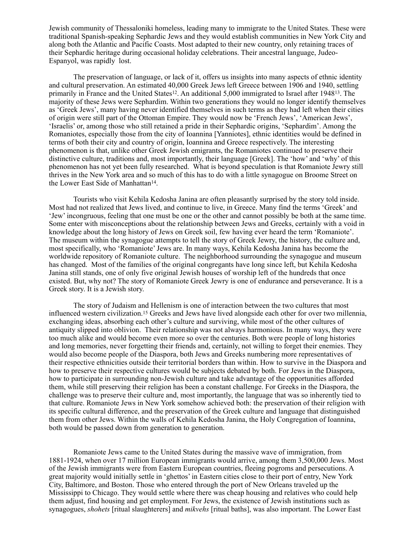Jewish community of Thessaloniki homeless, leading many to immigrate to the United States. These were traditional Spanish-speaking Sephardic Jews and they would establish communities in New York City and along both the Atlantic and Pacific Coasts. Most adapted to their new country, only retaining traces of their Sephardic heritage during occasional holiday celebrations. Their ancestral language, Judeo-Espanyol, was rapidly lost.

<span id="page-1-0"></span>The preservation of language, or lack of it, offers us insights into many aspects of ethnic identity and cultural preservation. An estimated 40,000 Greek Jews left Greece between 1906 and 1940, settling primarily in France and the United States<sup>12</sup>. An additional 5,000 immigrated to Israel after 1948<sup>13</sup>. The majority of these Jews were Sephardim. Within two generations they would no longer identify themselves as 'Greek Jews', many having never identified themselves in such terms as they had left when their cities of origin were still part of the Ottoman Empire. They would now be 'French Jews', 'American Jews', 'Israelis' or, among those who still retained a pride in their Sephardic origins, 'Sephardim'. Among the Romaniotes, especially those from the city of Ioannina [Yanniotes], ethnic identities would be defined in terms of both their city and country of origin, Ioannina and Greece respectively. The interesting phenomenon is that, unlike other Greek Jewish emigrants, the Romaniotes continued to preserve their distinctive culture, traditions and, most importantly, their language [Greek]. The 'how' and 'why' of this phenomenon has not yet been fully researched. What is beyond speculation is that Romaniote Jewry still thrives in the New York area and so much of this has to do with a little synagogue on Broome Street on the Lower East Side of Manhattan<sup>14</sup>[.](#page-9-1)

<span id="page-1-1"></span>Tourists who visit Kehila Kedosha Janina are often pleasantly surprised by the story told inside. Most had not realized that Jews lived, and continue to live, in Greece. Many find the terms 'Greek' and 'Jew' incongruous, feeling that one must be one or the other and cannot possibly be both at the same time. Some enter with misconceptions about the relationship between Jews and Greeks, certainly with a void in knowledge about the long history of Jews on Greek soil, few having ever heard the term 'Romaniote'. The museum within the synagogue attempts to tell the story of Greek Jewry, the history, the culture and, most specifically, who 'Romaniote' Jews are. In many ways, Kehila Kedosha Janina has become the worldwide repository of Romaniote culture. The neighborhood surrounding the synagogue and museum has changed. Most of the families of the original congregants have long since left, but Kehila Kedosha Janina still stands, one of only five original Jewish houses of worship left of the hundreds that once existed. But, why not? The story of Romaniote Greek Jewry is one of endurance and perseverance. It is a Greek story. It is a Jewish story.

<span id="page-1-2"></span>The story of Judaism and Hellenism is one of interaction between the two cultures that most influenced western civilization.<sup>[15](#page-9-2)</sup> Greeks and Jews have lived alongside each other for over two millennia, exchanging ideas, absorbing each other's culture and surviving, while most of the other cultures of antiquity slipped into oblivion. Their relationship was not always harmonious. In many ways, they were too much alike and would become even more so over the centuries. Both were people of long histories and long memories, never forgetting their friends and, certainly, not willing to forget their enemies. They would also become people of the Diaspora, both Jews and Greeks numbering more representatives of their respective ethnicities outside their territorial borders than within. How to survive in the Diaspora and how to preserve their respective cultures would be subjects debated by both. For Jews in the Diaspora, how to participate in surrounding non-Jewish culture and take advantage of the opportunities afforded them, while still preserving their religion has been a constant challenge. For Greeks in the Diaspora, the challenge was to preserve their culture and, most importantly, the language that was so inherently tied to that culture. Romaniote Jews in New York somehow achieved both: the preservation of their religion with its specific cultural difference, and the preservation of the Greek culture and language that distinguished them from other Jews. Within the walls of Kehila Kedosha Janina, the Holy Congregation of Ioannina, both would be passed down from generation to generation.

 Romaniote Jews came to the United States during the massive wave of immigration, from 1881-1924, when over 17 million European immigrants would arrive, among them 3,500,000 Jews. Most of the Jewish immigrants were from Eastern European countries, fleeing pogroms and persecutions. A great majority would initially settle in 'ghettos' in Eastern cities close to their port of entry, New York City, Baltimore, and Boston. Those who entered through the port of New Orleans traveled up the Mississippi to Chicago. They would settle where there was cheap housing and relatives who could help them adjust, find housing and get employment. For Jews, the existence of Jewish institutions such as synagogues, *shohets* [ritual slaughterers] and *mikvehs* [ritual baths], was also important. The Lower East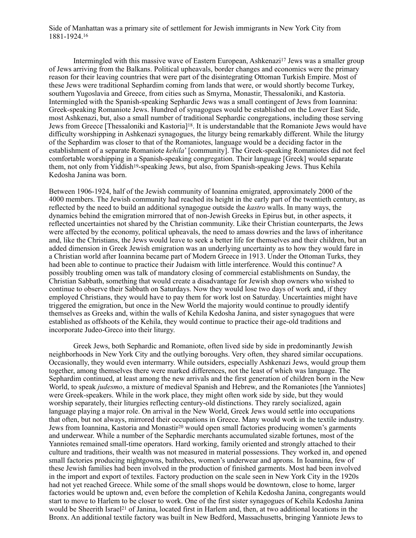<span id="page-2-0"></span>Side of Manhattan was a primary site of settlement for Jewish immigrants in New York City from 1881-1924[. 16](#page-9-3)

<span id="page-2-2"></span><span id="page-2-1"></span>Intermingled with this massive wave of Eastern European, Ashkenazi<sup>[17](#page-9-4)</sup> Jews was a smaller group of Jews arriving from the Balkans. Political upheavals, border changes and economics were the primary reason for their leaving countries that were part of the disintegrating Ottoman Turkish Empire. Most of these Jews were traditional Sephardim coming from lands that were, or would shortly become Turkey, southern Yugoslavia and Greece, from cities such as Smyrna, Monastir, Thessaloniki, and Kastoria. Intermingled with the Spanish-speaking Sephardic Jews was a small contingent of Jews from Ioannina: Greek-speaking Romaniote Jews. Hundred of synagogues would be established on the Lower East Side, most Ashkenazi, but, also a small number of traditional Sephardic congregations, including those serving Jews from Greece [Thessaloniki and Kastoria]<sup>18</sup>[.](#page-9-5) It is understandable that the Romaniote Jews would have difficulty worshipping in Ashkenazi synagogues, the liturgy being remarkably different. While the liturgy of the Sephardim was closer to that of the Romaniotes, language would be a deciding factor in the establishment of a separate Romaniote *kehila*' [community]. The Greek-speaking Romaniotes did not feel comfortable worshipping in a Spanish-speaking congregation. Their language [Greek] would separate them, not only from Yiddish<sup>19</sup>[-](#page-9-6)speaking Jews, but also, from Spanish-speaking Jews. Thus Kehila Kedosha Janina was born.

<span id="page-2-3"></span>Between 1906-1924, half of the Jewish community of Ioannina emigrated, approximately 2000 of the 4000 members. The Jewish community had reached its height in the early part of the twentieth century, as reflected by the need to build an additional synagogue outside the *kastro* walls. In many ways, the dynamics behind the emigration mirrored that of non-Jewish Greeks in Epirus but, in other aspects, it reflected uncertainties not shared by the Christian community. Like their Christian counterparts, the Jews were affected by the economy, political upheavals, the need to amass dowries and the laws of inheritance and, like the Christians, the Jews would leave to seek a better life for themselves and their children, but an added dimension in Greek Jewish emigration was an underlying uncertainty as to how they would fare in a Christian world after Ioannina became part of Modern Greece in 1913. Under the Ottoman Turks, they had been able to continue to practice their Judaism with little interference. Would this continue? A possibly troubling omen was talk of mandatory closing of commercial establishments on Sunday, the Christian Sabbath, something that would create a disadvantage for Jewish shop owners who wished to continue to observe their Sabbath on Saturdays. Now they would lose two days of work and, if they employed Christians, they would have to pay them for work lost on Saturday. Uncertainties might have triggered the emigration, but once in the New World the majority would continue to proudly identify themselves as Greeks and, within the walls of Kehila Kedosha Janina, and sister synagogues that were established as offshoots of the Kehila, they would continue to practice their age-old traditions and incorporate Judeo-Greco into their liturgy.

<span id="page-2-5"></span><span id="page-2-4"></span>Greek Jews, both Sephardic and Romaniote, often lived side by side in predominantly Jewish neighborhoods in New York City and the outlying boroughs. Very often, they shared similar occupations. Occasionally, they would even intermarry. While outsiders, especially Ashkenazi Jews, would group them together, among themselves there were marked differences, not the least of which was language. The Sephardim continued, at least among the new arrivals and the first generation of children born in the New World, to speak *judesmo*, a mixture of medieval Spanish and Hebrew, and the Romaniotes [the Yanniotes] were Greek-speakers. While in the work place, they might often work side by side, but they would worship separately, their liturgies reflecting century-old distinctions. They rarely socialized, again language playing a major role. On arrival in the New World, Greek Jews would settle into occupations that often, but not always, mirrored their occupations in Greece. Many would work in the textile industry. Jewsfrom Ioannina, Kastoria and Monastir<sup>[20](#page-9-7)</sup> would open small factories producing women's garments and underwear. While a number of the Sephardic merchants accumulated sizable fortunes, most of the Yanniotes remained small-time operators. Hard working, family oriented and strongly attached to their culture and traditions, their wealth was not measured in material possessions. They worked in, and opened small factories producing nightgowns, bathrobes, women's underwear and aprons. In Ioannina, few of these Jewish families had been involved in the production of finished garments. Most had been involved in the import and export of textiles. Factory production on the scale seen in New York City in the 1920s had not yet reached Greece. While some of the small shops would be downtown, close to home, larger factories would be uptown and, even before the completion of Kehila Kedosha Janina, congregants would start to move to Harlem to be closer to work. One of the first sister synagogues of Kehila Kedosha Janina would be Sheerith Israel<sup>21</sup> of Janina, located first in Harlem and, then, at two additiona[l](#page-9-8) locations in the Bronx. An additional textile factory was built in New Bedford, Massachusetts, bringing Yanniote Jews to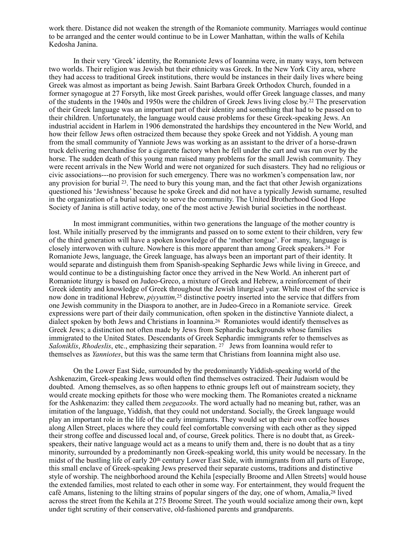work there. Distance did not weaken the strength of the Romaniote community. Marriages would continue to be arranged and the center would continue to be in Lower Manhattan, within the walls of Kehila Kedosha Janina.

<span id="page-3-0"></span>In their very 'Greek' identity, the Romaniote Jews of Ioannina were, in many ways, torn between two worlds. Their religion was Jewish but their ethnicity was Greek. In the New York City area, where they had access to traditional Greek institutions, there would be instances in their daily lives where being Greek was almost as important as being Jewish. Saint Barbara Greek Orthodox Church, founded in a former synagogue at 27 Forsyth, like most Greek parishes, would offer Greek language classes, and many of the students in the 1940s and 1950s were the children of Greek Jews living close by.<sup>[22](#page-9-9)</sup> The preservation of their Greek language was an important part of their identity and something that had to be passed on to their children. Unfortunately, the language would cause problems for these Greek-speaking Jews. An industrial accident in Harlem in 1906 demonstrated the hardships they encountered in the New World, and how their fellow Jews often ostracized them because they spoke Greek and not Yiddish. A young man from the small community of Yanniote Jews was working as an assistant to the driver of a horse-drawn truck delivering merchandise for a cigarette factory when he fell under the cart and was run over by the horse. The sudden death of this young man raised many problems for the small Jewish community. They were recent arrivals in the New World and were not organized for such disasters. They had no religious or civic associations---no provision for such emergency. There was no workmen's compensation law, nor any provision for burial  $^{23}$  $^{23}$  $^{23}$ . The need to bury this young man, and the fact that other Jewish organizations questioned his 'Jewishness' because he spoke Greek and did not have a typically Jewish surname, resulted in the organization of a burial society to serve the community. The United Brotherhood Good Hope Society of Janina is still active today, one of the most active Jewish burial societies in the northeast.

<span id="page-3-3"></span><span id="page-3-2"></span><span id="page-3-1"></span>In most immigrant communities, within two generations the language of the mother country is lost. While initially preserved by the immigrants and passed on to some extent to their children, very few of the third generation will have a spoken knowledge of the 'mother tongue'. For many, language is closely interwoven with culture. Nowhere is this more apparent than among Greek speakers.<sup>[24](#page-9-11)</sup> For Romaniote Jews, language, the Greek language, has always been an important part of their identity. It would separate and distinguish them from Spanish-speaking Sephardic Jews while living in Greece, and would continue to be a distinguishing factor once they arrived in the New World. An inherent part of Romaniote liturgy is based on Judeo-Greco, a mixture of Greek and Hebrew, a reinforcement of their Greek identity and knowledge of Greek throughout the Jewish liturgical year. While most of the service is nowdone in traditional Hebrew, *piyyuttim*, <sup>[25](#page-10-0)</sup> distinctive poetry inserted into the service that differs from one Jewish community in the Diaspora to another, are in Judeo-Greco in a Romaniote service. Greek expressions were part of their daily communication, often spoken in the distinctive Yanniote dialect, a dialect spoken by both Jews and Christians in Ioannina.<sup>[26](#page-10-1)</sup> Romaniotes would identify themselves as Greek Jews; a distinction not often made by Jews from Sephardic backgrounds whose families immigrated to the United States. Descendants of Greek Sephardic immigrants refer to themselves as *Saloniklis*,*Rhodeslis*, etc., emphasizing their separation. <sup>[27](#page-10-2)</sup> Jews from Ioannina would refer to themselves as *Yanniotes*, but this was the same term that Christians from Ioannina might also use.

<span id="page-3-6"></span><span id="page-3-5"></span><span id="page-3-4"></span>On the Lower East Side, surrounded by the predominantly Yiddish-speaking world of the Ashkenazim, Greek-speaking Jews would often find themselves ostracized. Their Judaism would be doubted. Among themselves, as so often happens to ethnic groups left out of mainstream society, they would create mocking epithets for those who were mocking them. The Romaniotes created a nickname for the Ashkenazim: they called them *zeegazooks*. The word actually had no meaning but, rather, was an imitation of the language, Yiddish, that they could not understand. Socially, the Greek language would play an important role in the life of the early immigrants. They would set up their own coffee houses along Allen Street, places where they could feel comfortable conversing with each other as they sipped their strong coffee and discussed local and, of course, Greek politics. There is no doubt that, as Greekspeakers, their native language would act as a means to unify them and, there is no doubt that as a tiny minority, surrounded by a predominantly non Greek-speaking world, this unity would be necessary. In the midst of the bustling life of early 20th century Lower East Side, with immigrants from all parts of Europe, this small enclave of Greek-speaking Jews preserved their separate customs, traditions and distinctive style of worship. The neighborhood around the Kehila [especially Broome and Allen Streets] would house the extended families, most related to each other in some way. For entertainment, they would frequent the café Amans, listening to the lilting strains of popular singers of the day, one of whom, Amalia,  $28$  lived across the street from the Kehila at 275 Broome Street. The youth would socialize among their own, kept under tight scrutiny of their conservative, old-fashioned parents and grandparents.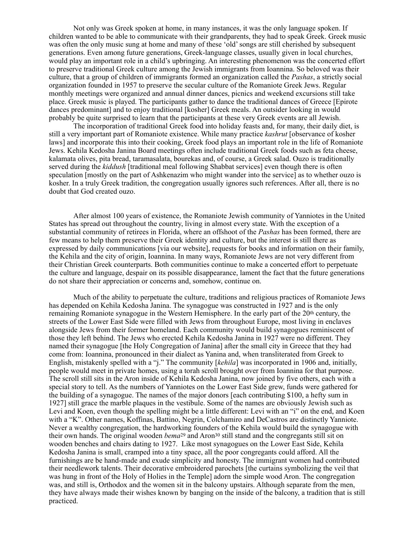Not only was Greek spoken at home, in many instances, it was the only language spoken. If children wanted to be able to communicate with their grandparents, they had to speak Greek. Greek music was often the only music sung at home and many of these 'old' songs are still cherished by subsequent generations. Even among future generations, Greek-language classes, usually given in local churches, would play an important role in a child's upbringing. An interesting phenomenon was the concerted effort to preserve traditional Greek culture among the Jewish immigrants from Ioannina. So beloved was their culture, that a group of children of immigrants formed an organization called the *Pashas*, a strictly social organization founded in 1957 to preserve the secular culture of the Romaniote Greek Jews. Regular monthly meetings were organized and annual dinner dances, picnics and weekend excursions still take place. Greek music is played. The participants gather to dance the traditional dances of Greece [Epirote dances predominant] and to enjoy traditional [kosher] Greek meals. An outsider looking in would probably be quite surprised to learn that the participants at these very Greek events are all Jewish.

The incorporation of traditional Greek food into holiday feasts and, for many, their daily diet, is still a very important part of Romaniote existence. While many practice *kashrut* [observance of kosher laws] and incorporate this into their cooking, Greek food plays an important role in the life of Romaniote Jews. Kehila Kedosha Janina Board meetings often include traditional Greek foods such as feta cheese, kalamata olives, pita bread, taramasalata, bourekas and, of course, a Greek salad. Ouzo is traditionally served during the *kiddush* [traditional meal following Shabbat services] even though there is often speculation [mostly on the part of Ashkenazim who might wander into the service] as to whether ouzo is kosher. In a truly Greek tradition, the congregation usually ignores such references. After all, there is no doubt that God created ouzo.

After almost 100 years of existence, the Romaniote Jewish community of Yanniotes in the United States has spread out throughout the country, living in almost every state. With the exception of a substantial community of retirees in Florida, where an offshoot of the *Pashas* has been formed, there are few means to help them preserve their Greek identity and culture, but the interest is still there as expressed by daily communications [via our website], requests for books and information on their family, the Kehila and the city of origin, Ioannina. In many ways, Romaniote Jews are not very different from their Christian Greek counterparts. Both communities continue to make a concerted effort to perpetuate the culture and language, despair on its possible disappearance, lament the fact that the future generations do not share their appreciation or concerns and, somehow, continue on.

<span id="page-4-1"></span><span id="page-4-0"></span>Much of the ability to perpetuate the culture, traditions and religious practices of Romaniote Jews has depended on Kehila Kedosha Janina. The synagogue was constructed in 1927 and is the only remaining Romaniote synagogue in the Western Hemisphere. In the early part of the 20th century, the streets of the Lower East Side were filled with Jews from throughout Europe, most living in enclaves alongside Jews from their former homeland. Each community would build synagogues reminiscent of those they left behind. The Jews who erected Kehila Kedosha Janina in 1927 were no different. They named their synagogue [the Holy Congregation of Janina] after the small city in Greece that they had come from: Ioannina, pronounced in their dialect as Yanina and, when transliterated from Greek to English, mistakenly spelled with a "j." The community [*kehila*] was incorporated in 1906 and, initially, people would meet in private homes, using a torah scroll brought over from Ioannina for that purpose. The scroll still sits in the Aron inside of Kehila Kedosha Janina, now joined by five others, each with a special story to tell. As the numbers of Yanniotes on the Lower East Side grew, funds were gathered for the building of a synagogue. The names of the major donors [each contributing \$100, a hefty sum in 1927] still grace the marble plaques in the vestibule. Some of the names are obviously Jewish such as Levi and Koen, even though the spelling might be a little different: Levi with an "i" on the end, and Koen with a "K". Other names, Koffinas, Battino, Negrin, Colchamiro and DeCastros are distinctly Yanniote. Never a wealthy congregation, the hardworking founders of the Kehila would build the synagogue with their ow[n](#page-10-5) hands. The original wooden *bema*<sup>[29](#page-10-4)</sup> and Aron<sup>30</sup> still stand and the congregants still sit on wooden benches and chairs dating to 1927. Like most synagogues on the Lower East Side, Kehila Kedosha Janina is small, cramped into a tiny space, all the poor congregants could afford. All the furnishings are be hand-made and exude simplicity and honesty. The immigrant women had contributed their needlework talents. Their decorative embroidered parochets [the curtains symbolizing the veil that was hung in front of the Holy of Holies in the Temple] adorn the simple wood Aron. The congregation was, and still is, Orthodox and the women sit in the balcony upstairs. Although separate from the men, they have always made their wishes known by banging on the inside of the balcony, a tradition that is still practiced.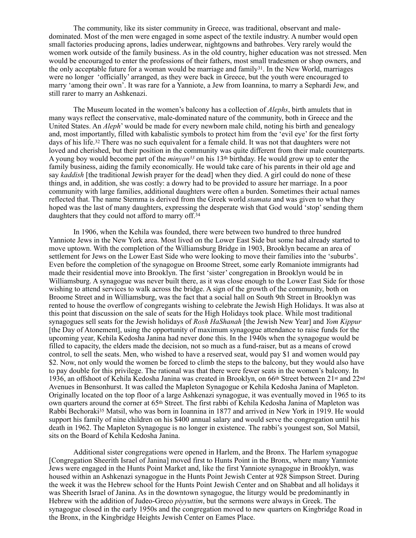<span id="page-5-0"></span>The community, like its sister community in Greece, was traditional, observant and maledominated. Most of the men were engaged in some aspect of the textile industry. A number would open small factories producing aprons, ladies underwear, nightgowns and bathrobes. Very rarely would the women work outside of the family business. As in the old country, higher education was not stressed. Men would be encouraged to enter the professions of their fathers, most small tradesmen or shop owners, and the only acceptable future for a woman would be marriage and family  $31$ [.](#page-10-6) In the New World, marriages were no longer 'officially' arranged, as they were back in Greece, but the youth were encouraged to marry 'among their own'. It was rare for a Yanniote, a Jew from Ioannina, to marry a Sephardi Jew, and still rarer to marry an Ashkenazi.

<span id="page-5-2"></span><span id="page-5-1"></span>The Museum located in the women's balcony has a collection of *Alephs*, birth amulets that in many ways reflect the conservative, male-dominated nature of the community, both in Greece and the United States. An *Aleph*' would be made for every newborn male child, noting his birth and genealogy and, most importantly, filled with kabalistic symbols to protect him from the 'evil eye' for the first forty days of his life.<sup>[32](#page-10-7)</sup> There was no such equivalent for a female child. It was not that daughters were not loved and cherished, but their position in the community was quite different from their male counterparts. A young boy would become part of the *minyan*<sup>[33](#page-10-8)</sup> on his 13<sup>th</sup> birthday. He would grow up to enter the family business, aiding the family economically. He would take care of his parents in their old age and say *kaddish* [the traditional Jewish prayer for the dead] when they died. A girl could do none of these things and, in addition, she was costly: a dowry had to be provided to assure her marriage. In a poor community with large families, additional daughters were often a burden. Sometimes their actual names reflected that. The name Stemma is derived from the Greek world *stamata* and was given to what they hoped was the last of many daughters, expressing the desperate wish that God would 'stop' sending them daughters that they could not afford to marry off.[34](#page-10-9)

<span id="page-5-3"></span>In 1906, when the Kehila was founded, there were between two hundred to three hundred Yanniote Jews in the New York area. Most lived on the Lower East Side but some had already started to move uptown. With the completion of the Williamsburg Bridge in 1903, Brooklyn became an area of settlement for Jews on the Lower East Side who were looking to move their families into the 'suburbs'. Even before the completion of the synagogue on Broome Street, some early Romaniote immigrants had made their residential move into Brooklyn. The first 'sister' congregation in Brooklyn would be in Williamsburg. A synagogue was never built there, as it was close enough to the Lower East Side for those wishing to attend services to walk across the bridge. A sign of the growth of the community, both on Broome Street and in Williamsburg, was the fact that a social hall on South 9th Street in Brooklyn was rented to house the overflow of congregants wishing to celebrate the Jewish High Holidays. It was also at this point that discussion on the sale of seats for the High Holidays took place. While most traditional synagogues sell seats for the Jewish holidays of *Rosh HaShanah* [the Jewish New Year] and *Yom Kippur* [the Day of Atonement], using the opportunity of maximum synagogue attendance to raise funds for the upcoming year, Kehila Kedosha Janina had never done this. In the 1940s when the synagogue would be filled to capacity, the elders made the decision, not so much as a fund-raiser, but as a means of crowd control, to sell the seats. Men, who wished to have a reserved seat, would pay \$1 and women would pay \$2. Now, not only would the women be forced to climb the steps to the balcony, but they would also have to pay double for this privilege. The rational was that there were fewer seats in the women's balcony. In 1936, an offshoot of Kehila Kedosha Janina was created in Brooklyn, on 66th Street between 21st and 22nd Avenues in Bensonhurst. It was called the Mapleton Synagogue or Kehila Kedosha Janina of Mapleton. Originally located on the top floor of a large Ashkenazi synagogue, it was eventually moved in 1965 to its own quarters around the corner at 65th Street. The first rabbi of Kehila Kedosha Janina of Mapleton was Rabb[i](#page-10-10) Bechoraki<sup>[35](#page-10-10)</sup> Matsil, who was born in Ioannina in 1877 and arrived in New York in 1919. He would support his family of nine children on his \$400 annual salary and would serve the congregation until his death in 1962. The Mapleton Synagogue is no longer in existence. The rabbi's youngest son, Sol Matsil, sits on the Board of Kehila Kedosha Janina.

<span id="page-5-4"></span>Additional sister congregations were opened in Harlem, and the Bronx. The Harlem synagogue [Congregation Sheerith Israel of Janina] moved first to Hunts Point in the Bronx, where many Yanniote Jews were engaged in the Hunts Point Market and, like the first Yanniote synagogue in Brooklyn, was housed within an Ashkenazi synagogue in the Hunts Point Jewish Center at 928 Simpson Street. During the week it was the Hebrew school for the Hunts Point Jewish Center and on Shabbat and all holidays it was Sheerith Israel of Janina. As in the downtown synagogue, the liturgy would be predominantly in Hebrew with the addition of Judeo-Greco *piyyuttim*, but the sermons were always in Greek. The synagogue closed in the early 1950s and the congregation moved to new quarters on Kingbridge Road in the Bronx, in the Kingbridge Heights Jewish Center on Eames Place.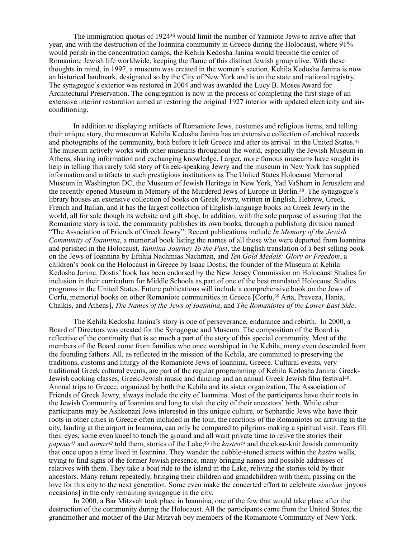<span id="page-6-0"></span>The immigration quotas of 1924<sup>[36](#page-11-0)</sup> would limit the number of Yanniote Jews to arrive after that year, and with the destruction of the Ioannina community in Greece during the Holocaust, where 91% would perish in the concentration camps, the Kehila Kedosha Janina would become the center of Romaniote Jewish life worldwide, keeping the flame of this distinct Jewish group alive. With these thoughts in mind, in 1997, a museum was created in the women's section. Kehila Kedosha Janina is now an historical landmark, designated so by the City of New York and is on the state and national registry. The synagogue's exterior was restored in 2004 and was awarded the Lucy B. Moses Award for Architectural Preservation. The congregation is now in the process of completing the first stage of an extensive interior restoration aimed at restoring the original 1927 interior with updated electricity and airconditioning.

<span id="page-6-2"></span><span id="page-6-1"></span>In addition to displaying artifacts of Romaniote Jews, costumes and religious items, and telling their unique story, the museum at Kehila Kedosha Janina has an extensive collection of archival records and photographs of the community, both before it left Greece and after its arrival in the United States[.](#page-11-1) [37](#page-11-1) The museum actively works with other museums throughout the world, especially the Jewish Museum in Athens, sharing information and exchanging knowledge. Larger, more famous museums have sought its help in telling this rarely told story of Greek-speaking Jewry and the museum in New York has supplied information and artifacts to such prestigious institutions as The United States Holocaust Memorial Museum in Washington DC, the Museum of Jewish Heritage in New York, Yad VaShem in Jerusalem and the recently opened Museum in Memory of the Murdered Jews of Europe in Berlin.<sup>[38](#page-11-2)</sup> The synagogue's library houses an extensive collection of books on Greek Jewry, written in English, Hebrew, Greek, French and Italian, and it has the largest collection of English-language books on Greek Jewry in the world, all for sale though its website and gift shop. In addition, with the sole purpose of assuring that the Romaniote story is told, the community publishes its own books, through a publishing division named "The Association of Friends of Greek Jewry". Recent publications include *In Memory of the Jewish Community of Ioannina*, a memorial book listing the names of all those who were deported from Ioannina and perished in the Holocaust, *Yannina-Journey To the Past*, the English translation of a best selling book on the Jews of Ioannina by Eftihia Nachmias Nachman, and *Ten Gold Medals: Glory or Freedom*, a children's book on the Holocaust in Greece by Isaac Dostis, the founder of the Museum at Kehila Kedosha Janina. Dostis' book has been endorsed by the New Jersey Commission on Holocaust Studies for inclusion in their curriculum for Middle Schools as part of one of the best mandated Holocaust Studies programs in the United States. Future publications will include a comprehensive book on the Jews of Corfu[,](#page-11-3) memorial books on other Romaniote communities in Greece [Corfu, <sup>[39](#page-11-3)</sup> Arta, Preveza, Hania, Chalkis, and Athens], *The Names of the Jews of Ioannina*, and *The Romaniotes of the Lower East Side*.

<span id="page-6-4"></span><span id="page-6-3"></span>The Kehila Kedosha Janina's story is one of perseverance, endurance and rebirth. In 2000, a Board of Directors was created for the Synagogue and Museum. The composition of the Board is reflective of the continuity that is so much a part of the story of this special community. Most of the members of the Board come from families who once worshiped in the Kehila, many even descended from the founding fathers. All, as reflected in the mission of the Kehila, are committed to preserving the traditions, customs and liturgy of the Romaniote Jews of Ioannina, Greece. Cultural events, very traditional Greek cultural events, are part of the regular programming of Kehila Kedosha Janina: Greek-Jewish cooking classes, Greek-Jewish music and dancing and an annual Greek Jewish film festival<sup>[40](#page-11-4)</sup>. Annual trips to Greece, organized by both the Kehila and its sister organization, The Association of Friends of Greek Jewry, always include the city of Ioannina. Most of the participants have their roots in the Jewish Community of Ioannina and long to visit the city of their ancestors' birth. While other participants may be Ashkenazi Jews interested in this unique culture, or Sephardic Jews who have their roots in other cities in Greece often included in the tour, the reactions of the Romaniotes on arriving in the city, landing at the airport in Ioannina, can only be compared to pilgrims making a spiritual visit. Tears fill their eyes, some even kneel to touch the ground and all want private time to relive the stories their *papous<sup>[41](#page-11-5)</sup>*and *nonas*<sup>[42](#page-11-6)</sup> told them, stories of the Lake, <sup>43</sup> the *kastro*<sup>[44](#page-11-8)</sup> and the close-knit Jewish community that once upon a time lived in Ioannina. They wander the cobble-stoned streets within the *kastro* walls, trying to find signs of the former Jewish presence, many bringing names and possible addresses of relatives with them. They take a boat ride to the island in the Lake, reliving the stories told by their ancestors. Many return repeatedly, bringing their children and grandchildren with them, passing on the love for this city to the next generation. Some even make the concerted effort to celebrate *simchas* [joyous occasions] in the only remaining synagogue in the city.

<span id="page-6-8"></span><span id="page-6-7"></span><span id="page-6-6"></span><span id="page-6-5"></span>In 2000, a Bar Mitzvah took place in Ioannina, one of the few that would take place after the destruction of the community during the Holocaust. All the participants came from the United States, the grandmother and mother of the Bar Mitzvah boy members of the Romaniote Community of New York.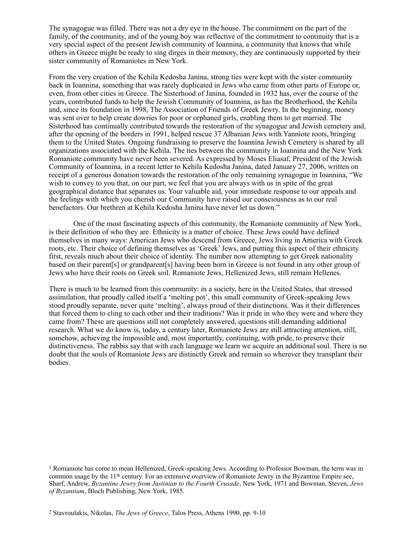The synagogue was filled. There was not a dry eye in the house. The commitment on the part of the family, of the community, and of the young boy was reflective of the commitment to continuity that is a very special aspect of the present Jewish community of Ioannina, a community that knows that while others in Greece might be ready to sing dirges in their memory, they are continuously supported by their sister community of Romaniotes in New York.

From the very creation of the Kehila Kedosha Janina, strong ties were kept with the sister community back in Ioannina, something that was rarely duplicated in Jews who came from other parts of Europe or, even, from other cities in Greece. The Sisterhood of Janina, founded in 1932 has, over the course of the years, contributed funds to help the Jewish Community of Ioannina, as has the Brotherhood, the Kehila and, since its foundation in 1998, The Association of Friends of Greek Jewry. In the beginning, money was sent over to help create dowries for poor or orphaned girls, enabling them to get married. The Sisterhood has continually contributed towards the restoration of the synagogue and Jewish cemetery and, after the opening of the borders in 1991, helped rescue 37 Albanian Jews with Yanniote roots, bringing them to the United States. Ongoing fundraising to preserve the Ioannina Jewish Cemetery is shared by all organizations associated with the Kehila. The ties between the community in Ioannina and the New York Romaniote community have never been severed. As expressed by Moses Eliasaf, President of the Jewish Community of Ioannina, in a recent letter to Kehila Kedosha Janina, dated January 27, 2006, written on receipt of a generous donation towards the restoration of the only remaining synagogue in Ioannina, "We wish to convey to you that, on our part, we feel that you are always with us in spite of the great geographical distance that separates us. Your valuable aid, your immediate response to our appeals and the feelings with which you cherish our Community have raised our consciousness as to our real benefactors. Our brethren at Kehila Kedosha Janina have never let us down."

One of the most fascinating aspects of this community, the Romaniote community of New York, is their definition of who they are. Ethnicity is a matter of choice. These Jews could have defined themselves in many ways: American Jews who descend from Greece, Jews living in America with Greek roots, etc. Their choice of defining themselves as 'Greek' Jews, and putting this aspect of their ethnicity first, reveals much about their choice of identity. The number now attempting to get Greek nationality based on their parent[s] or grandparent[s] having been born in Greece is not found in any other group of Jews who have their roots on Greek soil. Romaniote Jews, Hellenized Jews, still remain Hellenes.

There is much to be learned from this community: in a society, here in the United States, that stressed assimilation, that proudly called itself a 'melting pot', this small community of Greek-speaking Jews stood proudly separate, never quite 'melting', always proud of their distinctions. Was it their differences that forced them to cling to each other and their traditions? Was it pride in who they were and where they came from? These are questions still not completely answered, questions still demanding additional research. What we do know is, today, a century later, Romaniote Jews are still attracting attention, still, somehow, achieving the impossible and, most importantly, continuing, with pride, to preserve their distinctiveness. The rabbis say that with each language we learn we acquire an additional soul. There is no doubt that the souls of Romaniote Jews are distinctly Greek and remain so wherever they transplant their bodies.

<span id="page-7-0"></span><sup>&</sup>lt;sup>1</sup>Romaniote has come to mean Hellenized, Greek-speaking Jews. According to Professor Bowman, the term was in common usage by the 11th century. For an extensive overview of Romaniote Jewry in the Byzantine Empire see, Sharf, Andrew, *Byzantine Jewry from Justinian to the Fourth Crusade*, New York, 1971 and Bowman, Steven, *Jews of Byzantium*, Bloch Publishing, New York, 1985.

<span id="page-7-1"></span>[<sup>2</sup>](#page-0-1) Stavroulakis, Nikolas, *The Jews of Greece*, Talos Press, Athens 1990, pp. 9-10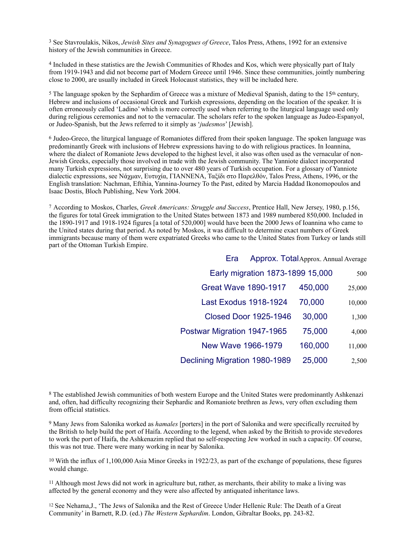<span id="page-8-0"></span><sup>[3](#page-0-2)</sup> See Stavroulakis, Nikos, *Jewish Sites and Synagogues of Greece*, Talos Press, Athens, 1992 for an extensive history of the Jewish communities in Greece.

<span id="page-8-1"></span>Included in these statistics are the Jewish Communities of Rhodes and Kos, which were physically part of Italy [4](#page-0-3) from 1919-1943 and did not become part of Modern Greece until 1946. Since these communities, jointly numbering close to 2000, are usually included in Greek Holocaust statistics, they will be included here.

<span id="page-8-2"></span><sup>5</sup>The language spoken by the Sephardim of Greece was a mixture of Medieval Spanish, dating to the 1[5](#page-0-4)<sup>th</sup> century, Hebrew and inclusions of occasional Greek and Turkish expressions, depending on the location of the speaker. It is often erroneously called 'Ladino' which is more correctly used when referring to the liturgical language used only during religious ceremonies and not to the vernacular. The scholars refer to the spoken language as Judeo-Espanyol, or Judeo-Spanish, but the Jews referred to it simply as '*judesmos*' [Jewish].

<span id="page-8-3"></span><sup>6</sup>Judeo-Greco, the liturgical language of Romaniotes differed from their spoken language. The spoken language was predominantly Greek with inclusions of Hebrew expressions having to do with religious practices. In Ioannina, where the dialect of Romaniote Jews developed to the highest level, it also was often used as the vernacular of non-Jewish Greeks, especially those involved in trade with the Jewish community. The Yanniote dialect incorporated many Turkish expressions, not surprising due to over 480 years of Turkish occupation. For a glossary of Yanniote dialectic expressions, see Νάχμαν, Ευτυχία, ΓΙΑΝΝΕΝΑ, Ταξίδι στο Παρελθόν, Talos Press, Athens, 1996, or the English translation: Nachman, Eftihia, Yannina-Journey To the Past, edited by Marcia Haddad Ikonomopoulos and Isaac Dostis, Bloch Publishing, New York 2004.

<span id="page-8-4"></span>According to Moskos, Charles, *Greek Americans: Struggle and Success*, Prentice Hall, New Jersey, 1980, p.156, [7](#page-0-6) the figures for total Greek immigration to the United States between 1873 and 1989 numbered 850,000. Included in the 1890-1917 and 1918-1924 figures [a total of 520,000] would have been the 2000 Jews of Ioannina who came to the United states during that period. As noted by Moskos, it was difficult to determine exact numbers of Greek immigrants because many of them were expatriated Greeks who came to the United States from Turkey or lands still part of the Ottoman Turkish Empire.

| Era                              | Approx. Total Approx. Annual Average |         |        |
|----------------------------------|--------------------------------------|---------|--------|
| Early migration 1873-1899 15,000 |                                      |         | 500    |
| <b>Great Wave 1890-1917</b>      |                                      | 450,000 | 25,000 |
| <b>Last Exodus 1918-1924</b>     |                                      | 70,000  | 10,000 |
| <b>Closed Door 1925-1946</b>     |                                      | 30,000  | 1,300  |
| Postwar Migration 1947-1965      |                                      | 75,000  | 4,000  |
| New Wave 1966-1979               |                                      | 160,000 | 11,000 |
| Declining Migration 1980-1989    |                                      | 25,000  | 2,500  |

<span id="page-8-5"></span>8The established Jewish communities of both western Europe and the United States were predominantly Ashkenazi and, often, had difficulty recognizing their Sephardic and Romaniote brethren as Jews, very often excluding them from official statistics.

<span id="page-8-6"></span> Many Jews from Salonika worked as *hamales* [porters] in the port of Salonika and were specifically recruited by [9](#page-0-8) the British to help build the port of Haifa. According to the legend, when asked by the British to provide stevedores to work the port of Haifa, the Ashkenazim replied that no self-respecting Jew worked in such a capacity. Of course, this was not true. There were many working in near by Salonika.

<span id="page-8-7"></span> $10$  With the influx of 1,100,000 Asia Minor Greeks in 1922/23, as part of the exchange of populations, these figures would change.

<span id="page-8-8"></span> $11$  Although most Jews did not work in agriculture but, rather, as merchants, their ability to make a living was affected by the general economy and they were also affected by antiquated inheritance laws.

<sup>12</sup> See Nehama,J., 'The Jews of Salonika and the Rest of Greece Under Hellenic Rule: The Death of a Great Community' in Barnett, R.D. (ed.) *The Western Sephardim*. London, Gibraltar Books, pp. 243-82.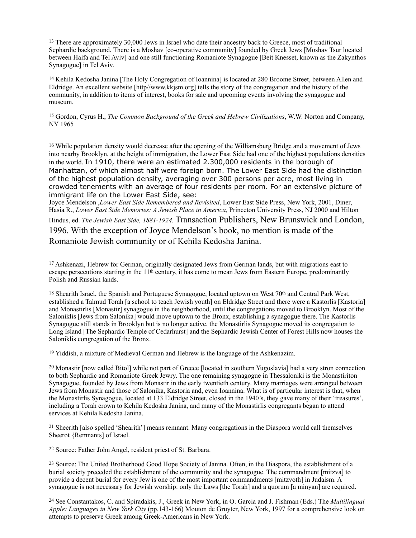<span id="page-9-0"></span><sup>[13](#page-1-0)</sup> There are approximately 30,000 Jews in Israel who date their ancestry back to Greece, most of traditional Sephardic background. There is a Moshav [co-operative community] founded by Greek Jews [Moshav Tsur located between Haifa and Tel Aviv] and one still functioning Romaniote Synagogue [Beit Knesset, known as the Zakynthos Synagogue] in Tel Aviv.

<span id="page-9-1"></span><sup>[14](#page-1-1)</sup> Kehila Kedosha Janina [The Holy Congregation of Ioannina] is located at 280 Broome Street, between Allen and Eldridge. An excellent website [http//www.kkjsm.org] tells the story of the congregation and the history of the community, in addition to items of interest, books for sale and upcoming events involving the synagogue and museum.

<span id="page-9-2"></span><sup>[15](#page-1-2)</sup> Gordon, Cyrus H., *The Common Background of the Greek and Hebrew Civilizations*, W.W. Norton and Company, NY 1965

<span id="page-9-3"></span><sup>[16](#page-2-0)</sup> While population density would decrease after the opening of the Williamsburg Bridge and a movement of Jews into nearby Brooklyn, at the height of immigration, the Lower East Side had one of the highest populations densities in the world. In 1910, there were an estimated 2.300,000 residents in the borough of Manhattan, of which almost half were foreign born. The Lower East Side had the distinction of the highest population density, averaging over 300 persons per acre, most living in crowded tenements with an average of four residents per room. For an extensive picture of immigrant life on the Lower East Side, see:

Joyce Mendelson ,*Lower East Side Remembered and Revisited*, Lower East Side Press, New York, 2001, Diner, Hasia R., *Lower East Side Memories: A Jewish Place in America,* Princeton University Press, NJ 2000 and Hilton Hindus, ed. *The Jewish East Side, 1881-1924.* Transaction Publishers, New Brunswick and London,

1996. With the exception of Joyce Mendelson's book, no mention is made of the Romaniote Jewish community or of Kehila Kedosha Janina.

<span id="page-9-4"></span><sup>[17](#page-2-1)</sup> Ashkenazi, Hebrew for German, originally designated Jews from German lands, but with migrations east to escape persecutions starting in the  $11<sup>th</sup>$  century, it has come to mean Jews from Eastern Europe, predominantly Polish and Russian lands.

<span id="page-9-5"></span><sup>[18](#page-2-2)</sup> Shearith Israel, the Spanish and Portuguese Synagogue, located uptown on West 70<sup>th</sup> and Central Park West, established a Talmud Torah [a school to teach Jewish youth] on Eldridge Street and there were a Kastorlis [Kastoria] and Monastirlis [Monastir] synagogue in the neighborhood, until the congregations moved to Brooklyn. Most of the Saloniklis [Jews from Salonika] would move uptown to the Bronx, establishing a synagogue there. The Kastorlis Synagogue still stands in Brooklyn but is no longer active, the Monastirlis Synagogue moved its congregation to Long Island [The Sephardic Temple of Cedarhurst] and the Sephardic Jewish Center of Forest Hills now houses the Saloniklis congregation of the Bronx.

<span id="page-9-6"></span> $19$  Yiddish, a mixture of Medieval German and Hebrew is the language of the Ashkenazim.

<span id="page-9-7"></span> $^{20}$  $^{20}$  $^{20}$  Monastir [now called Bitol] while not part of Greece [located in southern Yugoslavia] had a very stron connection to both Sephardic and Romaniote Greek Jewry. The one remaining synagogue in Thessaloniki is the Monastiriton Synagogue, founded by Jews from Monastir in the early twentieth century. Many marriages were arranged between Jews from Monastir and those of Salonika, Kastoria and, even Ioannina. What is of particular interest is that, when the Monastirlis Synagogue, located at 133 Eldridge Street, closed in the 1940's, they gave many of their 'treasures', including a Torah crown to Kehila Kedosha Janina, and many of the Monastirlis congregants began to attend services at Kehila Kedosha Janina.

<span id="page-9-8"></span><sup>[21](#page-2-5)</sup> Sheerith [also spelled 'Shearith'] means remnant. Many congregations in the Diaspora would call themselves Sheerot {Remnants] of Israel.

<span id="page-9-9"></span><sup>[22](#page-3-0)</sup> Source: Father John Angel, resident priest of St. Barbara.

<span id="page-9-10"></span><sup>[23](#page-3-1)</sup> Source: The United Brotherhood Good Hope Society of Janina. Often, in the Diaspora, the establishment of a burial society preceded the establishment of the community and the synagogue. The commandment [mitzva] to provide a decent burial for every Jew is one of the most important commandments [mitzvoth] in Judaism. A synagogue is not necessary for Jewish worship: only the Laws [the Torah] and a quorum [a minyan] are required.

<span id="page-9-11"></span> See Constantakos, C. and Spiradakis, J., Greek in New York, in O. Garcia and J. Fishman (Eds.) The *Multilingual* [24](#page-3-2) *Apple: Languages in New York City* (pp.143-166) Mouton de Gruyter, New York, 1997 for a comprehensive look on attempts to preserve Greek among Greek-Americans in New York.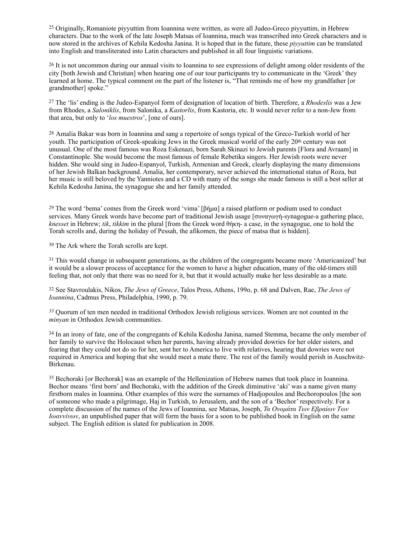<span id="page-10-0"></span><sup>[25](#page-3-3)</sup> Originally, Romaniote piyyuttim from Ioannina were written, as were all Judeo-Greco piyyuttim, in Hebrew characters. Due to the work of the late Joseph Matsas of Ioannina, much was transcribed into Greek characters and is now stored in the archives of Kehila Kedosha Janina. It is hoped that in the future, these *piyyuttim* can be translated into English and transliterated into Latin characters and published in all four linguistic variations.

<span id="page-10-1"></span><sup>[26](#page-3-4)</sup> It is not uncommon during our annual visits to Ioannina to see expressions of delight among older residents of the city [both Jewish and Christian] when hearing one of our tour participants try to communicate in the 'Greek' they learned at home. The typical comment on the part of the listener is, "That reminds me of how my grandfather [or grandmother] spoke."

<span id="page-10-2"></span> The 'lis' ending is the Judeo-Espanyol form of designation of location of birth. Therefore, a *Rhodeslis* was a Jew [27](#page-3-5) from Rhodes, a *Saloniklis*, from Salonika, a *Kastorlis*, from Kastoria, etc. It would never refer to a non-Jew from that area, but only to '*los muestros*', [one of ours].

<span id="page-10-3"></span><sup>[28](#page-3-6)</sup> Amalia Bakar was born in Ioannina and sang a repertoire of songs typical of the Greco-Turkish world of her youth. The participation of Greek-speaking Jews in the Greek musical world of the early 20<sup>th</sup> century was not unusual. One of the most famous was Roza Eskenazi, born Sarah Skinazi to Jewish parents [Flora and Avraam] in Constantinople. She would become the most famous of female Rebetika singers. Her Jewish roots were never hidden. She would sing in Judeo-Espanyol, Turkish, Armenian and Greek, clearly displaying the many dimensions of her Jewish Balkan background. Amalia, her contemporary, never achieved the international status of Roza, but her music is still beloved by the Yanniotes and a CD with many of the songs she made famous is still a best seller at Kehila Kedosha Janina, the synagogue she and her family attended.

<span id="page-10-4"></span><sup>[29](#page-4-0)</sup> The word 'bema' comes from the Greek word 'vima' [βήμα] a raised platform or podium used to conduct services. Many Greek words have become part of traditional Jewish usage [συναγωγή-synagogue-a gathering place, *knesset* in Hebrew; *tik*, *tikkim* in the plural [from the Greek word θήκη- a case, in the synagogue, one to hold the Torah scrolls and, during the holiday of Pessah, the afikomen, the piece of matsa that is hidden].

<span id="page-10-5"></span><sup>[30](#page-4-1)</sup> The Ark where the Torah scrolls are kept.

<span id="page-10-6"></span><sup>[31](#page-5-0)</sup> This would change in subsequent generations, as the children of the congregants became more 'Americanized' but it would be a slower process of acceptance for the women to have a higher education, many of the old-timers still feeling that, not only that there was no need for it, but that it would actually make her less desirable as a mate.

<span id="page-10-7"></span> See Stavroulakis, Nikos, *The Jews of Greece*, Talos Press, Athens, 199o, p. 68 and Dalven, Rae, *The Jews of* [32](#page-5-1) *Ioannina*, Cadmus Press, Philadelphia, 1990, p. 79.

<span id="page-10-8"></span> Quorum of ten men needed in traditional Orthodox Jewish religious services. Women are not counted in the *[33](#page-5-2) minyan* in Orthodox Jewish communities.

<span id="page-10-9"></span><sup>[34](#page-5-3)</sup> In an irony of fate, one of the congregants of Kehila Kedosha Janina, named Stemma, became the only member of her family to survive the Holocaust when her parents, having already provided dowries for her older sisters, and fearing that they could not do so for her, sent her to America to live with relatives, hearing that dowries were not required in America and hoping that she would meet a mate there. The rest of the family would perish in Auschwitz-Birkenau.

<span id="page-10-10"></span><sup>[35](#page-5-4)</sup> Bechoraki [or Bechorak] was an example of the Hellenization of Hebrew names that took place in Ioannina. Bechor means 'first born' and Bechoraki, with the addition of the Greek diminutive 'aki' was a name given many firstborn males in Ioannina. Other examples of this were the surnames of Hadjopoulos and Bechoropoulos [the son of someone who made a pilgrimage, Haj in Turkish, to Jerusalem, and the son of a 'Bechor' respectively. For a complete discussion of the names of the Jews of Ioannina, see Matsas, Joseph, *Τα Ονοµάτα Των Εβραίων Των Ιωαννίνων*, an unpublished paper that will form the basis for a soon to be published book in English on the same subject. The English edition is slated for publication in 2008.